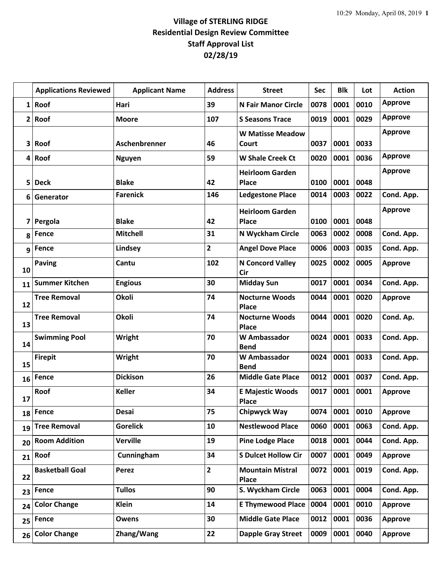## **Village of STERLING RIDGE Residential Design Review Committee Staff Approval List 02/28/19**

|    | <b>Applications Reviewed</b> | <b>Applicant Name</b> | <b>Address</b>          | <b>Street</b>                           | <b>Sec</b> | <b>Blk</b> | Lot  | <b>Action</b>  |
|----|------------------------------|-----------------------|-------------------------|-----------------------------------------|------------|------------|------|----------------|
|    | $1$ Roof                     | Hari                  | 39                      | <b>N Fair Manor Circle</b>              | 0078       | 0001       | 0010 | <b>Approve</b> |
|    | 2 Root                       | <b>Moore</b>          | 107                     | <b>S Seasons Trace</b>                  | 0019       | 0001       | 0029 | <b>Approve</b> |
| 3  | Roof                         | Aschenbrenner         | 46                      | <b>W Matisse Meadow</b><br>Court        | 0037       | 0001       | 0033 | <b>Approve</b> |
|    | 4 Root                       | <b>Nguyen</b>         | 59                      | <b>W Shale Creek Ct</b>                 | 0020       | 0001       | 0036 | <b>Approve</b> |
| 5  | <b>Deck</b>                  | <b>Blake</b>          | 42                      | <b>Heirloom Garden</b><br><b>Place</b>  | 0100       | 0001       | 0048 | <b>Approve</b> |
| 6  | Generator                    | <b>Farenick</b>       | 146                     | <b>Ledgestone Place</b>                 | 0014       | 0003       | 0022 | Cond. App.     |
| 7  | Pergola                      | <b>Blake</b>          | 42                      | <b>Heirloom Garden</b><br><b>Place</b>  | 0100       | 0001       | 0048 | <b>Approve</b> |
| 8  | Fence                        | <b>Mitchell</b>       | 31                      | N Wyckham Circle                        | 0063       | 0002       | 0008 | Cond. App.     |
|    | g Fence                      | Lindsey               | 2                       | <b>Angel Dove Place</b>                 | 0006       | 0003       | 0035 | Cond. App.     |
| 10 | <b>Paving</b>                | Cantu                 | 102                     | <b>N Concord Valley</b><br>Cir          | 0025       | 0002       | 0005 | <b>Approve</b> |
| 11 | <b>Summer Kitchen</b>        | <b>Engious</b>        | 30                      | <b>Midday Sun</b>                       | 0017       | 0001       | 0034 | Cond. App.     |
| 12 | <b>Tree Removal</b>          | Okoli                 | 74                      | <b>Nocturne Woods</b><br><b>Place</b>   | 0044       | 0001       | 0020 | <b>Approve</b> |
| 13 | <b>Tree Removal</b>          | Okoli                 | 74                      | <b>Nocturne Woods</b><br>Place          | 0044       | 0001       | 0020 | Cond. Ap.      |
| 14 | <b>Swimming Pool</b>         | Wright                | 70                      | <b>W</b> Ambassador<br><b>Bend</b>      | 0024       | 0001       | 0033 | Cond. App.     |
| 15 | <b>Firepit</b>               | Wright                | 70                      | <b>W</b> Ambassador<br><b>Bend</b>      | 0024       | 0001       | 0033 | Cond. App.     |
| 16 | Fence                        | <b>Dickison</b>       | 26                      | <b>Middle Gate Place</b>                | 0012       | 0001       | 0037 | Cond. App.     |
| 17 | Roof                         | <b>Keller</b>         | 34                      | <b>E Majestic Woods</b><br><b>Place</b> | 0017       | 0001       | 0001 | <b>Approve</b> |
| 18 | Fence                        | <b>Desai</b>          | 75                      | Chipwyck Way                            | 0074       | 0001       | 0010 | <b>Approve</b> |
| 19 | <b>Tree Removal</b>          | <b>Gorelick</b>       | 10                      | <b>Nestlewood Place</b>                 | 0060       | 0001       | 0063 | Cond. App.     |
| 20 | <b>Room Addition</b>         | <b>Verville</b>       | 19                      | <b>Pine Lodge Place</b>                 | 0018       | 0001       | 0044 | Cond. App.     |
| 21 | Roof                         | Cunningham            | 34                      | <b>S Dulcet Hollow Cir</b>              | 0007       | 0001       | 0049 | <b>Approve</b> |
| 22 | <b>Basketball Goal</b>       | Perez                 | $\overline{\mathbf{c}}$ | <b>Mountain Mistral</b><br><b>Place</b> | 0072       | 0001       | 0019 | Cond. App.     |
| 23 | Fence                        | <b>Tullos</b>         | 90                      | S. Wyckham Circle                       | 0063       | 0001       | 0004 | Cond. App.     |
| 24 | <b>Color Change</b>          | <b>Klein</b>          | 14                      | <b>E Thymewood Place</b>                | 0004       | 0001       | 0010 | <b>Approve</b> |
| 25 | Fence                        | Owens                 | 30                      | <b>Middle Gate Place</b>                | 0012       | 0001       | 0036 | <b>Approve</b> |
| 26 | <b>Color Change</b>          | Zhang/Wang            | 22                      | <b>Dapple Gray Street</b>               | 0009       | 0001       | 0040 | <b>Approve</b> |